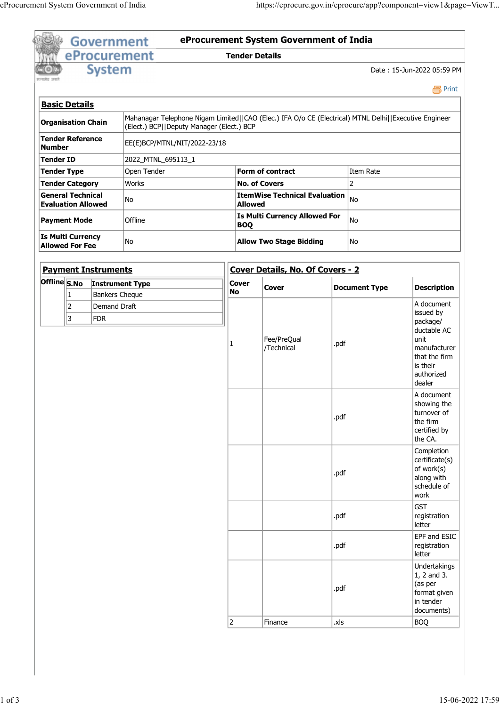| सन्यमेव जयले |                                                       | <b>Government</b>                     |                                                                                                                                                    |                       |                                               |                             |                                                                                                                                 |
|--------------|-------------------------------------------------------|---------------------------------------|----------------------------------------------------------------------------------------------------------------------------------------------------|-----------------------|-----------------------------------------------|-----------------------------|---------------------------------------------------------------------------------------------------------------------------------|
|              |                                                       |                                       | eProcurement                                                                                                                                       | <b>Tender Details</b> | eProcurement System Government of India       |                             |                                                                                                                                 |
|              |                                                       | <b>System</b>                         |                                                                                                                                                    |                       |                                               |                             | Date: 15-Jun-2022 05:59 PM                                                                                                      |
|              | <b>Basic Details</b>                                  |                                       |                                                                                                                                                    |                       |                                               |                             | <b>马Print</b>                                                                                                                   |
|              | Organisation Chain                                    |                                       | Mahanagar Telephone Nigam Limited  CAO (Elec.) IFA O/o CE (Electrical) MTNL Delhi  Executive Engineer<br>(Elect.) BCP  Deputy Manager (Elect.) BCP |                       |                                               |                             |                                                                                                                                 |
| Number       | Tender Reference                                      |                                       | EE(E)BCP/MTNL/NIT/2022-23/18                                                                                                                       |                       |                                               |                             |                                                                                                                                 |
| Tender ID    |                                                       |                                       | 2022_MTNL_695113_1                                                                                                                                 |                       |                                               |                             |                                                                                                                                 |
| Tender Type  | Tender Category                                       |                                       | Open Tender<br>Works                                                                                                                               |                       | Form of contract<br><b>No. of Covers</b>      | Item Rate<br>$\overline{2}$ |                                                                                                                                 |
|              | <b>General Technical</b><br><b>Evaluation Allowed</b> |                                       | No                                                                                                                                                 | <b>Allowed</b>        | <b>ItemWise Technical Evaluation</b> $ _{No}$ |                             |                                                                                                                                 |
|              | Payment Mode                                          |                                       | Offline                                                                                                                                            | <b>BOQ</b>            | <b>Is Multi Currency Allowed For</b>          | No                          |                                                                                                                                 |
|              | Is Multi Currency<br><b>Allowed For Fee</b>           |                                       | No                                                                                                                                                 |                       | <b>Allow Two Stage Bidding</b>                | No                          |                                                                                                                                 |
|              |                                                       | <b>Payment Instruments</b>            |                                                                                                                                                    |                       | Cover Details, No. Of Covers - 2              |                             |                                                                                                                                 |
|              |                                                       |                                       | Offline S.No Instrument Type                                                                                                                       | <b>Cover</b><br>No    | Cover                                         | <b>Document Type</b>        | <b>Description</b>                                                                                                              |
|              | 1<br>2<br>3                                           | Bankers Cheque<br>Demand Draft<br>FDR |                                                                                                                                                    |                       | Fee/PreQual<br>/Technical                     | .pdf                        | A document<br>issued by<br>package/<br>ductable AC<br>unit<br>manufacturer<br>that the firm<br>is their<br>authorized<br>dealer |
|              |                                                       |                                       |                                                                                                                                                    |                       |                                               | .pdf                        | A document<br>showing the<br>turnover of<br>the firm<br>certified by<br>the CA.                                                 |
|              |                                                       |                                       |                                                                                                                                                    |                       |                                               | .pdf                        | Completion<br>$ $ certificate $(s)$<br>of work(s)<br>along with<br>schedule of<br>work                                          |
|              |                                                       |                                       |                                                                                                                                                    |                       |                                               | .pdf                        | GST<br>registration<br>letter                                                                                                   |
|              |                                                       |                                       |                                                                                                                                                    |                       |                                               | .pdf                        | EPF and ESIC<br>registration<br>letter                                                                                          |
|              |                                                       |                                       |                                                                                                                                                    |                       |                                               |                             | Undertakings                                                                                                                    |
|              |                                                       |                                       |                                                                                                                                                    |                       |                                               | .pdf                        | $1, 2$ and $3.$<br>$\vert$ (as per<br>format given<br>in tender<br>documents)                                                   |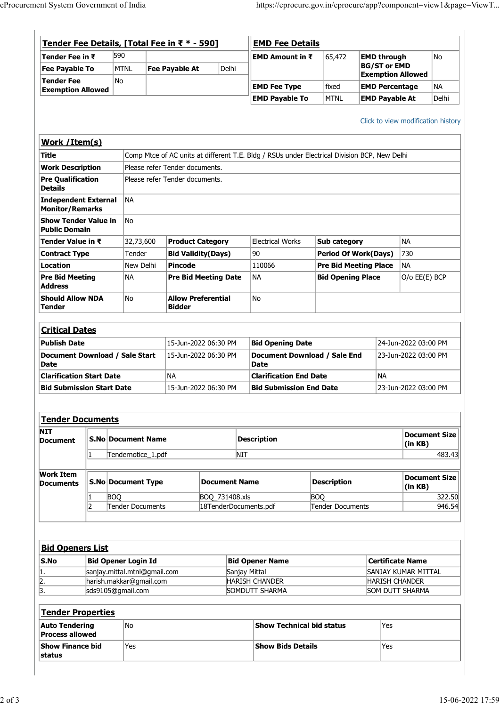| eProcurement System Government of India<br>Tender Fee Details, [Total Fee in ₹ * - 590]<br><b>EMD Fee Details</b><br>590<br>No<br><b>EMD Amount in ₹</b><br>65,472<br><b>EMD through</b><br>Tender Fee in ₹<br><b>BG/ST or EMD</b><br>MTNL<br>Fee Payable At<br>Delhi<br><b>Fee Payable To</b><br><b>Exemption Allowed</b><br>No<br>NA  <br><b>EMD Fee Type</b><br>fixed<br><b>EMD Percentage</b><br><b>Exemption Allowed</b><br><b>EMD Payable To</b><br><b>MTNL</b><br><b>EMD Payable At</b><br>Work / Item(s)<br>Comp Mtce of AC units at different T.E. Bldg / RSUs under Electrical Division BCP, New Delhi<br><b>Work Description</b><br>Please refer Tender documents.<br><b>Pre Qualification</b><br>Please refer Tender documents.<br> NA<br><b>Independent External</b><br><b>Monitor/Remarks</b><br>No<br>Show Tender Value in<br><b>Public Domain</b><br><b>Electrical Works</b><br>NA<br>Sub category<br>Tender Value in ₹<br>32,73,600<br><b>Product Category</b><br>90<br><b>Bid Validity (Days)</b><br><b>Period Of Work(Days)</b><br>Contract Type<br>Tender<br>$ 730\rangle$<br>New Delhi<br>Pincode<br>110066<br><b>Pre Bid Meeting Place</b><br>NA<br><b>Pre Bid Meeting</b><br>∣NA<br>NA<br><b>Bid Opening Place</b><br>O/o EE(E) BCP<br><b>Pre Bid Meeting Date</b><br><b>Allow Preferential</b><br>No<br><b>Should Allow NDA</b><br>No<br><b>Bidder</b><br><b>Critical Dates</b><br>15-Jun-2022 06:30 PM<br>24-Jun-2022 03:00 PM<br><b>Bid Opening Date</b><br>Document Download / Sale Start<br>Document Download / Sale End<br>15-Jun-2022 06:30 PM<br>23-Jun-2022 03:00 PM<br>Date<br><b>Date</b><br>NA<br><b>NA</b><br><b>Clarification Start Date</b><br><b>Clarification End Date</b><br>23-Jun-2022 03:00 PM<br><b>Bid Submission Start Date</b><br>15-Jun-2022 06:30 PM<br><b>Bid Submission End Date</b><br>Tender Documents<br><b>Description</b><br><b>S.No Document Name</b><br>Document<br>(in KB)<br>Tendernotice_1.pdf<br><b>NIT</b><br>S.No Document Type<br><b>Description</b><br><b>Document Name</b><br><b>Documents</b><br>(in KB)<br><b>BOQ</b><br>BOQ_731408.xls<br><b>BOQ</b><br>Tender Documents<br>18TenderDocuments.pdf<br>Tender Documents<br>12<br><b>Bid Openers List</b><br><b>Bid Opener Login Id</b><br>$\mathsf{S}.\mathsf{No}$<br><b>Bid Opener Name</b><br><b>Certificate Name</b><br>sanjay.mittal.mtnl@gmail.com<br>Sanjay Mittal<br>SANJAY KUMAR MITTAL<br>harish.makkar@gmail.com<br><b>HARISH CHANDER</b><br><b>HARISH CHANDER</b><br>sds9105@gmail.com<br>SOMDUTT SHARMA<br>SOM DUTT SHARMA<br>Tender Properties<br>No<br>Yes<br>Show Technical bid status<br><b>Auto Tendering</b><br><b>Process allowed</b> |                     |  |  |  |  |  |
|-------------------------------------------------------------------------------------------------------------------------------------------------------------------------------------------------------------------------------------------------------------------------------------------------------------------------------------------------------------------------------------------------------------------------------------------------------------------------------------------------------------------------------------------------------------------------------------------------------------------------------------------------------------------------------------------------------------------------------------------------------------------------------------------------------------------------------------------------------------------------------------------------------------------------------------------------------------------------------------------------------------------------------------------------------------------------------------------------------------------------------------------------------------------------------------------------------------------------------------------------------------------------------------------------------------------------------------------------------------------------------------------------------------------------------------------------------------------------------------------------------------------------------------------------------------------------------------------------------------------------------------------------------------------------------------------------------------------------------------------------------------------------------------------------------------------------------------------------------------------------------------------------------------------------------------------------------------------------------------------------------------------------------------------------------------------------------------------------------------------------------------------------------------------------------------------------------------------------------------------------------------------------------------------------------------------------------------------------------------------------------------------------------------------------------------------------------------------------------------------------------------------------------------------------------------------------------------------------------------------------------------------------------------------------------|---------------------|--|--|--|--|--|
| Delhi                                                                                                                                                                                                                                                                                                                                                                                                                                                                                                                                                                                                                                                                                                                                                                                                                                                                                                                                                                                                                                                                                                                                                                                                                                                                                                                                                                                                                                                                                                                                                                                                                                                                                                                                                                                                                                                                                                                                                                                                                                                                                                                                                                                                                                                                                                                                                                                                                                                                                                                                                                                                                                                                         |                     |  |  |  |  |  |
| https://eprocure.gov.in/eprocure/app?component=view1&page=ViewT<br>Click to view modification history<br>Document Size<br>483.43<br><b>Document Size</b><br>322.50<br>946.54                                                                                                                                                                                                                                                                                                                                                                                                                                                                                                                                                                                                                                                                                                                                                                                                                                                                                                                                                                                                                                                                                                                                                                                                                                                                                                                                                                                                                                                                                                                                                                                                                                                                                                                                                                                                                                                                                                                                                                                                                                                                                                                                                                                                                                                                                                                                                                                                                                                                                                  |                     |  |  |  |  |  |
|                                                                                                                                                                                                                                                                                                                                                                                                                                                                                                                                                                                                                                                                                                                                                                                                                                                                                                                                                                                                                                                                                                                                                                                                                                                                                                                                                                                                                                                                                                                                                                                                                                                                                                                                                                                                                                                                                                                                                                                                                                                                                                                                                                                                                                                                                                                                                                                                                                                                                                                                                                                                                                                                               |                     |  |  |  |  |  |
|                                                                                                                                                                                                                                                                                                                                                                                                                                                                                                                                                                                                                                                                                                                                                                                                                                                                                                                                                                                                                                                                                                                                                                                                                                                                                                                                                                                                                                                                                                                                                                                                                                                                                                                                                                                                                                                                                                                                                                                                                                                                                                                                                                                                                                                                                                                                                                                                                                                                                                                                                                                                                                                                               |                     |  |  |  |  |  |
|                                                                                                                                                                                                                                                                                                                                                                                                                                                                                                                                                                                                                                                                                                                                                                                                                                                                                                                                                                                                                                                                                                                                                                                                                                                                                                                                                                                                                                                                                                                                                                                                                                                                                                                                                                                                                                                                                                                                                                                                                                                                                                                                                                                                                                                                                                                                                                                                                                                                                                                                                                                                                                                                               |                     |  |  |  |  |  |
|                                                                                                                                                                                                                                                                                                                                                                                                                                                                                                                                                                                                                                                                                                                                                                                                                                                                                                                                                                                                                                                                                                                                                                                                                                                                                                                                                                                                                                                                                                                                                                                                                                                                                                                                                                                                                                                                                                                                                                                                                                                                                                                                                                                                                                                                                                                                                                                                                                                                                                                                                                                                                                                                               |                     |  |  |  |  |  |
|                                                                                                                                                                                                                                                                                                                                                                                                                                                                                                                                                                                                                                                                                                                                                                                                                                                                                                                                                                                                                                                                                                                                                                                                                                                                                                                                                                                                                                                                                                                                                                                                                                                                                                                                                                                                                                                                                                                                                                                                                                                                                                                                                                                                                                                                                                                                                                                                                                                                                                                                                                                                                                                                               |                     |  |  |  |  |  |
|                                                                                                                                                                                                                                                                                                                                                                                                                                                                                                                                                                                                                                                                                                                                                                                                                                                                                                                                                                                                                                                                                                                                                                                                                                                                                                                                                                                                                                                                                                                                                                                                                                                                                                                                                                                                                                                                                                                                                                                                                                                                                                                                                                                                                                                                                                                                                                                                                                                                                                                                                                                                                                                                               |                     |  |  |  |  |  |
|                                                                                                                                                                                                                                                                                                                                                                                                                                                                                                                                                                                                                                                                                                                                                                                                                                                                                                                                                                                                                                                                                                                                                                                                                                                                                                                                                                                                                                                                                                                                                                                                                                                                                                                                                                                                                                                                                                                                                                                                                                                                                                                                                                                                                                                                                                                                                                                                                                                                                                                                                                                                                                                                               |                     |  |  |  |  |  |
|                                                                                                                                                                                                                                                                                                                                                                                                                                                                                                                                                                                                                                                                                                                                                                                                                                                                                                                                                                                                                                                                                                                                                                                                                                                                                                                                                                                                                                                                                                                                                                                                                                                                                                                                                                                                                                                                                                                                                                                                                                                                                                                                                                                                                                                                                                                                                                                                                                                                                                                                                                                                                                                                               |                     |  |  |  |  |  |
|                                                                                                                                                                                                                                                                                                                                                                                                                                                                                                                                                                                                                                                                                                                                                                                                                                                                                                                                                                                                                                                                                                                                                                                                                                                                                                                                                                                                                                                                                                                                                                                                                                                                                                                                                                                                                                                                                                                                                                                                                                                                                                                                                                                                                                                                                                                                                                                                                                                                                                                                                                                                                                                                               |                     |  |  |  |  |  |
|                                                                                                                                                                                                                                                                                                                                                                                                                                                                                                                                                                                                                                                                                                                                                                                                                                                                                                                                                                                                                                                                                                                                                                                                                                                                                                                                                                                                                                                                                                                                                                                                                                                                                                                                                                                                                                                                                                                                                                                                                                                                                                                                                                                                                                                                                                                                                                                                                                                                                                                                                                                                                                                                               |                     |  |  |  |  |  |
|                                                                                                                                                                                                                                                                                                                                                                                                                                                                                                                                                                                                                                                                                                                                                                                                                                                                                                                                                                                                                                                                                                                                                                                                                                                                                                                                                                                                                                                                                                                                                                                                                                                                                                                                                                                                                                                                                                                                                                                                                                                                                                                                                                                                                                                                                                                                                                                                                                                                                                                                                                                                                                                                               | Tender Fee          |  |  |  |  |  |
|                                                                                                                                                                                                                                                                                                                                                                                                                                                                                                                                                                                                                                                                                                                                                                                                                                                                                                                                                                                                                                                                                                                                                                                                                                                                                                                                                                                                                                                                                                                                                                                                                                                                                                                                                                                                                                                                                                                                                                                                                                                                                                                                                                                                                                                                                                                                                                                                                                                                                                                                                                                                                                                                               |                     |  |  |  |  |  |
|                                                                                                                                                                                                                                                                                                                                                                                                                                                                                                                                                                                                                                                                                                                                                                                                                                                                                                                                                                                                                                                                                                                                                                                                                                                                                                                                                                                                                                                                                                                                                                                                                                                                                                                                                                                                                                                                                                                                                                                                                                                                                                                                                                                                                                                                                                                                                                                                                                                                                                                                                                                                                                                                               |                     |  |  |  |  |  |
|                                                                                                                                                                                                                                                                                                                                                                                                                                                                                                                                                                                                                                                                                                                                                                                                                                                                                                                                                                                                                                                                                                                                                                                                                                                                                                                                                                                                                                                                                                                                                                                                                                                                                                                                                                                                                                                                                                                                                                                                                                                                                                                                                                                                                                                                                                                                                                                                                                                                                                                                                                                                                                                                               |                     |  |  |  |  |  |
|                                                                                                                                                                                                                                                                                                                                                                                                                                                                                                                                                                                                                                                                                                                                                                                                                                                                                                                                                                                                                                                                                                                                                                                                                                                                                                                                                                                                                                                                                                                                                                                                                                                                                                                                                                                                                                                                                                                                                                                                                                                                                                                                                                                                                                                                                                                                                                                                                                                                                                                                                                                                                                                                               |                     |  |  |  |  |  |
|                                                                                                                                                                                                                                                                                                                                                                                                                                                                                                                                                                                                                                                                                                                                                                                                                                                                                                                                                                                                                                                                                                                                                                                                                                                                                                                                                                                                                                                                                                                                                                                                                                                                                                                                                                                                                                                                                                                                                                                                                                                                                                                                                                                                                                                                                                                                                                                                                                                                                                                                                                                                                                                                               |                     |  |  |  |  |  |
|                                                                                                                                                                                                                                                                                                                                                                                                                                                                                                                                                                                                                                                                                                                                                                                                                                                                                                                                                                                                                                                                                                                                                                                                                                                                                                                                                                                                                                                                                                                                                                                                                                                                                                                                                                                                                                                                                                                                                                                                                                                                                                                                                                                                                                                                                                                                                                                                                                                                                                                                                                                                                                                                               | <b>Title</b>        |  |  |  |  |  |
|                                                                                                                                                                                                                                                                                                                                                                                                                                                                                                                                                                                                                                                                                                                                                                                                                                                                                                                                                                                                                                                                                                                                                                                                                                                                                                                                                                                                                                                                                                                                                                                                                                                                                                                                                                                                                                                                                                                                                                                                                                                                                                                                                                                                                                                                                                                                                                                                                                                                                                                                                                                                                                                                               |                     |  |  |  |  |  |
|                                                                                                                                                                                                                                                                                                                                                                                                                                                                                                                                                                                                                                                                                                                                                                                                                                                                                                                                                                                                                                                                                                                                                                                                                                                                                                                                                                                                                                                                                                                                                                                                                                                                                                                                                                                                                                                                                                                                                                                                                                                                                                                                                                                                                                                                                                                                                                                                                                                                                                                                                                                                                                                                               | <b>Details</b>      |  |  |  |  |  |
|                                                                                                                                                                                                                                                                                                                                                                                                                                                                                                                                                                                                                                                                                                                                                                                                                                                                                                                                                                                                                                                                                                                                                                                                                                                                                                                                                                                                                                                                                                                                                                                                                                                                                                                                                                                                                                                                                                                                                                                                                                                                                                                                                                                                                                                                                                                                                                                                                                                                                                                                                                                                                                                                               |                     |  |  |  |  |  |
|                                                                                                                                                                                                                                                                                                                                                                                                                                                                                                                                                                                                                                                                                                                                                                                                                                                                                                                                                                                                                                                                                                                                                                                                                                                                                                                                                                                                                                                                                                                                                                                                                                                                                                                                                                                                                                                                                                                                                                                                                                                                                                                                                                                                                                                                                                                                                                                                                                                                                                                                                                                                                                                                               |                     |  |  |  |  |  |
|                                                                                                                                                                                                                                                                                                                                                                                                                                                                                                                                                                                                                                                                                                                                                                                                                                                                                                                                                                                                                                                                                                                                                                                                                                                                                                                                                                                                                                                                                                                                                                                                                                                                                                                                                                                                                                                                                                                                                                                                                                                                                                                                                                                                                                                                                                                                                                                                                                                                                                                                                                                                                                                                               |                     |  |  |  |  |  |
|                                                                                                                                                                                                                                                                                                                                                                                                                                                                                                                                                                                                                                                                                                                                                                                                                                                                                                                                                                                                                                                                                                                                                                                                                                                                                                                                                                                                                                                                                                                                                                                                                                                                                                                                                                                                                                                                                                                                                                                                                                                                                                                                                                                                                                                                                                                                                                                                                                                                                                                                                                                                                                                                               |                     |  |  |  |  |  |
|                                                                                                                                                                                                                                                                                                                                                                                                                                                                                                                                                                                                                                                                                                                                                                                                                                                                                                                                                                                                                                                                                                                                                                                                                                                                                                                                                                                                                                                                                                                                                                                                                                                                                                                                                                                                                                                                                                                                                                                                                                                                                                                                                                                                                                                                                                                                                                                                                                                                                                                                                                                                                                                                               |                     |  |  |  |  |  |
|                                                                                                                                                                                                                                                                                                                                                                                                                                                                                                                                                                                                                                                                                                                                                                                                                                                                                                                                                                                                                                                                                                                                                                                                                                                                                                                                                                                                                                                                                                                                                                                                                                                                                                                                                                                                                                                                                                                                                                                                                                                                                                                                                                                                                                                                                                                                                                                                                                                                                                                                                                                                                                                                               | Location            |  |  |  |  |  |
|                                                                                                                                                                                                                                                                                                                                                                                                                                                                                                                                                                                                                                                                                                                                                                                                                                                                                                                                                                                                                                                                                                                                                                                                                                                                                                                                                                                                                                                                                                                                                                                                                                                                                                                                                                                                                                                                                                                                                                                                                                                                                                                                                                                                                                                                                                                                                                                                                                                                                                                                                                                                                                                                               |                     |  |  |  |  |  |
|                                                                                                                                                                                                                                                                                                                                                                                                                                                                                                                                                                                                                                                                                                                                                                                                                                                                                                                                                                                                                                                                                                                                                                                                                                                                                                                                                                                                                                                                                                                                                                                                                                                                                                                                                                                                                                                                                                                                                                                                                                                                                                                                                                                                                                                                                                                                                                                                                                                                                                                                                                                                                                                                               | <b>Address</b>      |  |  |  |  |  |
|                                                                                                                                                                                                                                                                                                                                                                                                                                                                                                                                                                                                                                                                                                                                                                                                                                                                                                                                                                                                                                                                                                                                                                                                                                                                                                                                                                                                                                                                                                                                                                                                                                                                                                                                                                                                                                                                                                                                                                                                                                                                                                                                                                                                                                                                                                                                                                                                                                                                                                                                                                                                                                                                               | Tender              |  |  |  |  |  |
|                                                                                                                                                                                                                                                                                                                                                                                                                                                                                                                                                                                                                                                                                                                                                                                                                                                                                                                                                                                                                                                                                                                                                                                                                                                                                                                                                                                                                                                                                                                                                                                                                                                                                                                                                                                                                                                                                                                                                                                                                                                                                                                                                                                                                                                                                                                                                                                                                                                                                                                                                                                                                                                                               |                     |  |  |  |  |  |
|                                                                                                                                                                                                                                                                                                                                                                                                                                                                                                                                                                                                                                                                                                                                                                                                                                                                                                                                                                                                                                                                                                                                                                                                                                                                                                                                                                                                                                                                                                                                                                                                                                                                                                                                                                                                                                                                                                                                                                                                                                                                                                                                                                                                                                                                                                                                                                                                                                                                                                                                                                                                                                                                               |                     |  |  |  |  |  |
|                                                                                                                                                                                                                                                                                                                                                                                                                                                                                                                                                                                                                                                                                                                                                                                                                                                                                                                                                                                                                                                                                                                                                                                                                                                                                                                                                                                                                                                                                                                                                                                                                                                                                                                                                                                                                                                                                                                                                                                                                                                                                                                                                                                                                                                                                                                                                                                                                                                                                                                                                                                                                                                                               | <b>Publish Date</b> |  |  |  |  |  |
|                                                                                                                                                                                                                                                                                                                                                                                                                                                                                                                                                                                                                                                                                                                                                                                                                                                                                                                                                                                                                                                                                                                                                                                                                                                                                                                                                                                                                                                                                                                                                                                                                                                                                                                                                                                                                                                                                                                                                                                                                                                                                                                                                                                                                                                                                                                                                                                                                                                                                                                                                                                                                                                                               |                     |  |  |  |  |  |
|                                                                                                                                                                                                                                                                                                                                                                                                                                                                                                                                                                                                                                                                                                                                                                                                                                                                                                                                                                                                                                                                                                                                                                                                                                                                                                                                                                                                                                                                                                                                                                                                                                                                                                                                                                                                                                                                                                                                                                                                                                                                                                                                                                                                                                                                                                                                                                                                                                                                                                                                                                                                                                                                               |                     |  |  |  |  |  |
|                                                                                                                                                                                                                                                                                                                                                                                                                                                                                                                                                                                                                                                                                                                                                                                                                                                                                                                                                                                                                                                                                                                                                                                                                                                                                                                                                                                                                                                                                                                                                                                                                                                                                                                                                                                                                                                                                                                                                                                                                                                                                                                                                                                                                                                                                                                                                                                                                                                                                                                                                                                                                                                                               |                     |  |  |  |  |  |
|                                                                                                                                                                                                                                                                                                                                                                                                                                                                                                                                                                                                                                                                                                                                                                                                                                                                                                                                                                                                                                                                                                                                                                                                                                                                                                                                                                                                                                                                                                                                                                                                                                                                                                                                                                                                                                                                                                                                                                                                                                                                                                                                                                                                                                                                                                                                                                                                                                                                                                                                                                                                                                                                               |                     |  |  |  |  |  |
|                                                                                                                                                                                                                                                                                                                                                                                                                                                                                                                                                                                                                                                                                                                                                                                                                                                                                                                                                                                                                                                                                                                                                                                                                                                                                                                                                                                                                                                                                                                                                                                                                                                                                                                                                                                                                                                                                                                                                                                                                                                                                                                                                                                                                                                                                                                                                                                                                                                                                                                                                                                                                                                                               |                     |  |  |  |  |  |
|                                                                                                                                                                                                                                                                                                                                                                                                                                                                                                                                                                                                                                                                                                                                                                                                                                                                                                                                                                                                                                                                                                                                                                                                                                                                                                                                                                                                                                                                                                                                                                                                                                                                                                                                                                                                                                                                                                                                                                                                                                                                                                                                                                                                                                                                                                                                                                                                                                                                                                                                                                                                                                                                               |                     |  |  |  |  |  |
|                                                                                                                                                                                                                                                                                                                                                                                                                                                                                                                                                                                                                                                                                                                                                                                                                                                                                                                                                                                                                                                                                                                                                                                                                                                                                                                                                                                                                                                                                                                                                                                                                                                                                                                                                                                                                                                                                                                                                                                                                                                                                                                                                                                                                                                                                                                                                                                                                                                                                                                                                                                                                                                                               | <b>NIT</b>          |  |  |  |  |  |
|                                                                                                                                                                                                                                                                                                                                                                                                                                                                                                                                                                                                                                                                                                                                                                                                                                                                                                                                                                                                                                                                                                                                                                                                                                                                                                                                                                                                                                                                                                                                                                                                                                                                                                                                                                                                                                                                                                                                                                                                                                                                                                                                                                                                                                                                                                                                                                                                                                                                                                                                                                                                                                                                               |                     |  |  |  |  |  |
|                                                                                                                                                                                                                                                                                                                                                                                                                                                                                                                                                                                                                                                                                                                                                                                                                                                                                                                                                                                                                                                                                                                                                                                                                                                                                                                                                                                                                                                                                                                                                                                                                                                                                                                                                                                                                                                                                                                                                                                                                                                                                                                                                                                                                                                                                                                                                                                                                                                                                                                                                                                                                                                                               |                     |  |  |  |  |  |
|                                                                                                                                                                                                                                                                                                                                                                                                                                                                                                                                                                                                                                                                                                                                                                                                                                                                                                                                                                                                                                                                                                                                                                                                                                                                                                                                                                                                                                                                                                                                                                                                                                                                                                                                                                                                                                                                                                                                                                                                                                                                                                                                                                                                                                                                                                                                                                                                                                                                                                                                                                                                                                                                               | <b>Work Item</b>    |  |  |  |  |  |
|                                                                                                                                                                                                                                                                                                                                                                                                                                                                                                                                                                                                                                                                                                                                                                                                                                                                                                                                                                                                                                                                                                                                                                                                                                                                                                                                                                                                                                                                                                                                                                                                                                                                                                                                                                                                                                                                                                                                                                                                                                                                                                                                                                                                                                                                                                                                                                                                                                                                                                                                                                                                                                                                               |                     |  |  |  |  |  |
|                                                                                                                                                                                                                                                                                                                                                                                                                                                                                                                                                                                                                                                                                                                                                                                                                                                                                                                                                                                                                                                                                                                                                                                                                                                                                                                                                                                                                                                                                                                                                                                                                                                                                                                                                                                                                                                                                                                                                                                                                                                                                                                                                                                                                                                                                                                                                                                                                                                                                                                                                                                                                                                                               |                     |  |  |  |  |  |
|                                                                                                                                                                                                                                                                                                                                                                                                                                                                                                                                                                                                                                                                                                                                                                                                                                                                                                                                                                                                                                                                                                                                                                                                                                                                                                                                                                                                                                                                                                                                                                                                                                                                                                                                                                                                                                                                                                                                                                                                                                                                                                                                                                                                                                                                                                                                                                                                                                                                                                                                                                                                                                                                               |                     |  |  |  |  |  |
|                                                                                                                                                                                                                                                                                                                                                                                                                                                                                                                                                                                                                                                                                                                                                                                                                                                                                                                                                                                                                                                                                                                                                                                                                                                                                                                                                                                                                                                                                                                                                                                                                                                                                                                                                                                                                                                                                                                                                                                                                                                                                                                                                                                                                                                                                                                                                                                                                                                                                                                                                                                                                                                                               |                     |  |  |  |  |  |
|                                                                                                                                                                                                                                                                                                                                                                                                                                                                                                                                                                                                                                                                                                                                                                                                                                                                                                                                                                                                                                                                                                                                                                                                                                                                                                                                                                                                                                                                                                                                                                                                                                                                                                                                                                                                                                                                                                                                                                                                                                                                                                                                                                                                                                                                                                                                                                                                                                                                                                                                                                                                                                                                               |                     |  |  |  |  |  |
|                                                                                                                                                                                                                                                                                                                                                                                                                                                                                                                                                                                                                                                                                                                                                                                                                                                                                                                                                                                                                                                                                                                                                                                                                                                                                                                                                                                                                                                                                                                                                                                                                                                                                                                                                                                                                                                                                                                                                                                                                                                                                                                                                                                                                                                                                                                                                                                                                                                                                                                                                                                                                                                                               |                     |  |  |  |  |  |
|                                                                                                                                                                                                                                                                                                                                                                                                                                                                                                                                                                                                                                                                                                                                                                                                                                                                                                                                                                                                                                                                                                                                                                                                                                                                                                                                                                                                                                                                                                                                                                                                                                                                                                                                                                                                                                                                                                                                                                                                                                                                                                                                                                                                                                                                                                                                                                                                                                                                                                                                                                                                                                                                               | 1.                  |  |  |  |  |  |
|                                                                                                                                                                                                                                                                                                                                                                                                                                                                                                                                                                                                                                                                                                                                                                                                                                                                                                                                                                                                                                                                                                                                                                                                                                                                                                                                                                                                                                                                                                                                                                                                                                                                                                                                                                                                                                                                                                                                                                                                                                                                                                                                                                                                                                                                                                                                                                                                                                                                                                                                                                                                                                                                               | $\overline{2}$ .    |  |  |  |  |  |
|                                                                                                                                                                                                                                                                                                                                                                                                                                                                                                                                                                                                                                                                                                                                                                                                                                                                                                                                                                                                                                                                                                                                                                                                                                                                                                                                                                                                                                                                                                                                                                                                                                                                                                                                                                                                                                                                                                                                                                                                                                                                                                                                                                                                                                                                                                                                                                                                                                                                                                                                                                                                                                                                               | $\overline{3}$      |  |  |  |  |  |
|                                                                                                                                                                                                                                                                                                                                                                                                                                                                                                                                                                                                                                                                                                                                                                                                                                                                                                                                                                                                                                                                                                                                                                                                                                                                                                                                                                                                                                                                                                                                                                                                                                                                                                                                                                                                                                                                                                                                                                                                                                                                                                                                                                                                                                                                                                                                                                                                                                                                                                                                                                                                                                                                               |                     |  |  |  |  |  |
|                                                                                                                                                                                                                                                                                                                                                                                                                                                                                                                                                                                                                                                                                                                                                                                                                                                                                                                                                                                                                                                                                                                                                                                                                                                                                                                                                                                                                                                                                                                                                                                                                                                                                                                                                                                                                                                                                                                                                                                                                                                                                                                                                                                                                                                                                                                                                                                                                                                                                                                                                                                                                                                                               |                     |  |  |  |  |  |
|                                                                                                                                                                                                                                                                                                                                                                                                                                                                                                                                                                                                                                                                                                                                                                                                                                                                                                                                                                                                                                                                                                                                                                                                                                                                                                                                                                                                                                                                                                                                                                                                                                                                                                                                                                                                                                                                                                                                                                                                                                                                                                                                                                                                                                                                                                                                                                                                                                                                                                                                                                                                                                                                               |                     |  |  |  |  |  |
| Yes<br>Show Finance bid<br>Yes<br><b>Show Bids Details</b>                                                                                                                                                                                                                                                                                                                                                                                                                                                                                                                                                                                                                                                                                                                                                                                                                                                                                                                                                                                                                                                                                                                                                                                                                                                                                                                                                                                                                                                                                                                                                                                                                                                                                                                                                                                                                                                                                                                                                                                                                                                                                                                                                                                                                                                                                                                                                                                                                                                                                                                                                                                                                    |                     |  |  |  |  |  |
| status                                                                                                                                                                                                                                                                                                                                                                                                                                                                                                                                                                                                                                                                                                                                                                                                                                                                                                                                                                                                                                                                                                                                                                                                                                                                                                                                                                                                                                                                                                                                                                                                                                                                                                                                                                                                                                                                                                                                                                                                                                                                                                                                                                                                                                                                                                                                                                                                                                                                                                                                                                                                                                                                        |                     |  |  |  |  |  |